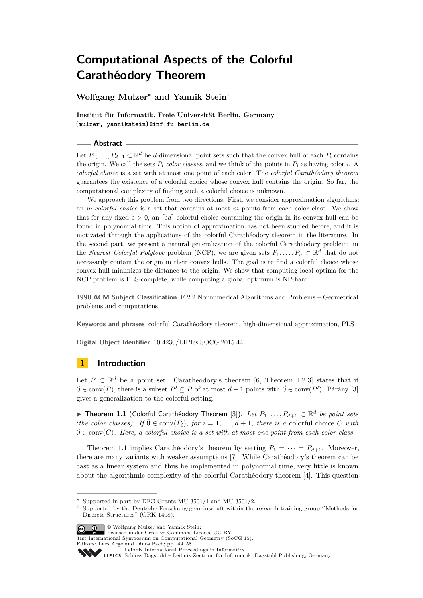**Wolfgang Mulzer<sup>∗</sup> and Yannik Stein†**

**Institut für Informatik, Freie Universität Berlin, Germany {mulzer, yannikstein}@inf.fu-berlin.de**

#### **Abstract**

Let  $P_1, \ldots, P_{d+1} \subset \mathbb{R}^d$  be *d*-dimensional point sets such that the convex hull of each  $P_i$  contains the origin. We call the sets  $P_i$  *color classes*, and we think of the points in  $P_i$  as having color *i*. A *colorful choice* is a set with at most one point of each color. The *colorful Carathéodory theorem* guarantees the existence of a colorful choice whose convex hull contains the origin. So far, the computational complexity of finding such a colorful choice is unknown.

We approach this problem from two directions. First, we consider approximation algorithms: an *m-colorful choice* is a set that contains at most *m* points from each color class. We show that for any fixed  $\varepsilon > 0$ , an [*εd*]-colorful choice containing the origin in its convex hull can be found in polynomial time. This notion of approximation has not been studied before, and it is motivated through the applications of the colorful Carathéodory theorem in the literature. In the second part, we present a natural generalization of the colorful Carathéodory problem: in the *Nearest Colorful Polytope* problem (NCP), we are given sets  $P_1, \ldots, P_n \subset \mathbb{R}^d$  that do not necessarily contain the origin in their convex hulls. The goal is to find a colorful choice whose convex hull minimizes the distance to the origin. We show that computing local optima for the NCP problem is PLS-complete, while computing a global optimum is NP-hard.

**1998 ACM Subject Classification** F.2.2 Nonnumerical Algorithms and Problems – Geometrical problems and computations

**Keywords and phrases** colorful Carathéodory theorem, high-dimensional approximation, PLS

**Digital Object Identifier** [10.4230/LIPIcs.SOCG.2015.44](http://dx.doi.org/10.4230/LIPIcs.SOCG.2015.44)

# **1 Introduction**

Let  $P \subset \mathbb{R}^d$  be a point set. Carathéodory's theorem [\[6,](#page-14-0) Theorem 1.2.3] states that if  $\vec{0}$  ∈ conv(*P*), there is a subset  $P' ⊆ P$  of at most  $d+1$  points with  $\vec{0} ∈ \text{conv}(P')$ . Bárány [\[3\]](#page-14-1) gives a generalization to the colorful setting.

<span id="page-0-0"></span>I **Theorem 1.1** (Colorful Carathéodory Theorem [\[3\]](#page-14-1))**.** *Let P*1*, . . . , Pd*+1 ⊂ R *d be point sets (the color classes).* If  $\vec{0} \in \text{conv}(P_i)$ , for  $i = 1, ..., d + 1$ , there is a colorful choice *C* with  $\vec{0} \in \text{conv}(C)$ *. Here, a colorful choice is a set with at most one point from each color class.* 

Theorem [1.1](#page-0-0) implies Carathéodory's theorem by setting  $P_1 = \cdots = P_{d+1}$ . Moreover, there are many variants with weaker assumptions [\[7\]](#page-14-2). While Carathéodory's theorem can be cast as a linear system and thus be implemented in polynomial time, very little is known about the algorithmic complexity of the colorful Carathéodory theorem [\[4\]](#page-14-3). This question

**<sup>†</sup>** Supported by the Deutsche Forschungsgemeinschaft within the research training group ''Methods for Discrete Structures" (GRK 1408).



© Wolfgang Mulzer and Yannik Stein; licensed under Creative Commons License CC-BY

31st International Symposium on Computational Geometry (SoCG'15).

Editors: Lars Arge and János Pach; pp. 44[–58](#page-14-4)

**<sup>∗</sup>** Supported in part by DFG Grants MU 3501/1 and MU 3501/2.

[Leibniz International Proceedings in Informatics](http://www.dagstuhl.de/lipics/)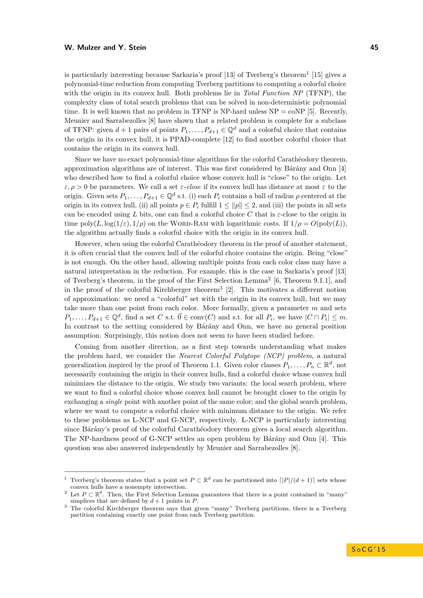is particularly interesting because Sarkaria's proof  $[13]$  of Tverberg's theorem<sup>[1](#page-1-0)</sup>  $[15]$  gives a polynomial-time reduction from computing Tverberg partitions to computing a colorful choice with the origin in its convex hull. Both problems lie in *Total Function NP* (TFNP), the complexity class of total search problems that can be solved in non-deterministic polynomial time. It is well known that no problem in TFNP is NP-hard unless  $NP = \text{coNP}$  [\[5\]](#page-14-7). Recently, Meunier and Sarrabezolles [\[8\]](#page-14-8) have shown that a related problem is complete for a subclass of TFNP: given  $d+1$  pairs of points  $P_1, \ldots, P_{d+1} \in \mathbb{Q}^d$  and a colorful choice that contains the origin in its convex hull, it is PPAD-complete [\[12\]](#page-14-9) to find another colorful choice that contains the origin in its convex hull.

Since we have no exact polynomial-time algorithms for the colorful Carathéodory theorem, approximation algorithms are of interest. This was first considered by Bárány and Onn [\[4\]](#page-14-3) who described how to find a colorful choice whose convex hull is "close" to the origin. Let *ε, ρ >* 0 be parameters. We call a set *ε-close* if its convex hull has distance at most *ε* to the origin. Given sets  $P_1, \ldots, P_{d+1} \in \mathbb{Q}^d$  s.t. (i) each  $P_i$  contains a ball of radius  $\rho$  centered at the origin in its convex hull, (ii) all points  $p \in P_i$  fulfill  $1 \le ||p|| \le 2$ , and (iii) the points in all sets can be encoded using L bits, one can find a colorful choice C that is  $\varepsilon$ -close to the origin in time poly $(L, \log(1/\varepsilon), 1/\rho)$  on the WORD-RAM with logarithmic costs. If  $1/\rho = O(\text{poly}(L))$ , the algorithm actually finds a colorful choice with the origin in its convex hull.

However, when using the colorful Carathéodory theorem in the proof of another statement, it is often crucial that the convex hull of the colorful choice contains the origin. Being "close" is not enough. On the other hand, allowing multiple points from each color class may have a natural interpretation in the reduction. For example, this is the case in Sarkaria's proof [\[13\]](#page-14-5) of Tverberg's theorem, in the proof of the First Selection Lemma[2](#page-1-1) [\[6,](#page-14-0) Theorem 9.1.1], and in the proof of the colorful Kirchberger theorem[3](#page-1-2) [\[2\]](#page-14-10). This motivates a different notion of approximation: we need a "colorful" set with the origin in its convex hull, but we may take more than one point from each color. More formally, given a parameter *m* and sets  $P_1, \ldots, P_{d+1} \in \mathbb{Q}^d$ , find a set *C* s.t.  $\vec{0} \in \text{conv}(C)$  and s.t. for all  $P_i$ , we have  $|C \cap P_i| \leq m$ . In contrast to the setting considered by Bárány and Onn, we have no general position assumption. Surprisingly, this notion does not seem to have been studied before.

Coming from another direction, as a first step towards understanding what makes the problem hard, we consider the *Nearest Colorful Polytope (NCP) problem*, a natural generalization inspired by the proof of Theorem [1.1.](#page-0-0) Given color classes  $P_1, \ldots, P_n \subset \mathbb{R}^d$ , not necessarily containing the origin in their convex hulls, find a colorful choice whose convex hull minimizes the distance to the origin. We study two variants: the local search problem, where we want to find a colorful choice whose convex hull cannot be brought closer to the origin by exchanging a *single* point with another point of the same color; and the global search problem, where we want to compute a colorful choice with minimum distance to the origin. We refer to these problems as L-NCP and G-NCP, respectively. L-NCP is particularly interesting since Bárány's proof of the colorful Carathéodory theorem gives a local search algorithm. The NP-hardness proof of G-NCP settles an open problem by Bárány and Onn [\[4\]](#page-14-3). This question was also answered independently by Meunier and Sarrabezolles [\[8\]](#page-14-8).

<span id="page-1-0"></span><sup>&</sup>lt;sup>1</sup> Tverberg's theorem states that a point set  $P \subset \mathbb{R}^d$  can be partitioned into  $\frac{|P|}{(d+1)}$  sets whose convex hulls have a nonempty intersection.

<span id="page-1-1"></span><sup>&</sup>lt;sup>2</sup> Let  $P \subset \mathbb{R}^d$ . Then, the First Selection Lemma guarantees that there is a point contained in "many" simplices that are defined by  $d+1$  points in  $P$ .

<span id="page-1-2"></span><sup>&</sup>lt;sup>3</sup> The colorful Kirchberger theorem says that given "many" Tverberg partitions, there is a Tverberg partition containing exactly one point from each Tverberg partition.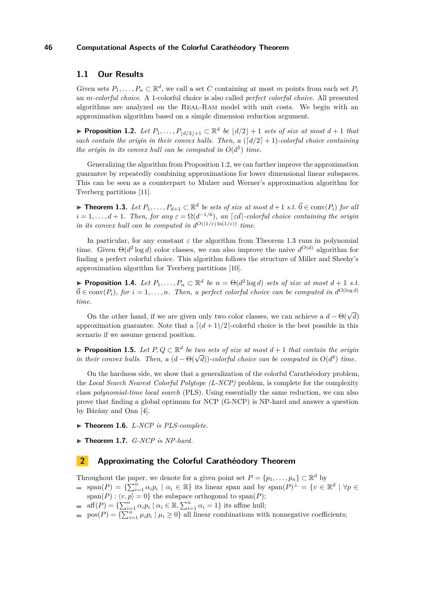# **1.1 Our Results**

Given sets  $P_1, \ldots, P_n \subset \mathbb{R}^d$ , we call a set C containing at most *m* points from each set  $P_i$ an *m-colorful choice*. A 1-colorful choice is also called *perfect colorful choice*. All presented algorithms are analyzed on the Real-Ram model with unit costs. We begin with an approximation algorithm based on a simple dimension reduction argument.

<span id="page-2-0"></span>▶ **Proposition 1.2.** *Let*  $P_1, \ldots, P_{\lfloor d/2 \rfloor + 1} \subset \mathbb{R}^d$  *be*  $\lfloor d/2 \rfloor + 1$  *sets of size at most*  $d + 1$  *that each contain the origin in their convex hulls. Then, a*  $\left(\frac{d}{2}+1\right)$ *-colorful choice containing the origin in its convex hull can be computed in*  $O(d^5)$  *time.* 

Generalizing the algorithm from Proposition [1.2,](#page-2-0) we can further improve the approximation guarantee by repeatedly combining approximations for lower dimensional linear subspaces. This can be seen as a counterpart to Mulzer and Werner's approximation algorithm for Tverberg partitions [\[11\]](#page-14-11).

<span id="page-2-1"></span>▶ **Theorem 1.3.** Let  $P_1, \ldots, P_{d+1} \subset \mathbb{R}^d$  be sets of size at most  $d+1$  s.t.  $\vec{0} \in \text{conv}(P_i)$  for all  $i = 1, \ldots, d + 1$ . Then, for any  $\varepsilon = \Omega(d^{-1/6})$ , an  $[\varepsilon d]$ -colorful choice containing the origin *in its convex hull can be computed in*  $d^{O((1/\varepsilon) \ln(1/\varepsilon))}$  *time.* 

In particular, for any constant  $\varepsilon$  the algorithm from Theorem [1.3](#page-2-1) runs in polynomial time. Given  $\Theta(d^2 \log d)$  color classes, we can also improve the naive  $d^{O(d)}$  algorithm for finding a perfect colorful choice. This algorithm follows the structure of Miller and Sheehy's approximation algorithm for Tverberg partitions [\[10\]](#page-14-12).

<span id="page-2-2"></span>▶ **Proposition 1.4.** *Let*  $P_1, \ldots, P_n \subset \mathbb{R}^d$  *be*  $n = \Theta(d^2 \log d)$  *sets of size at most*  $d + 1$  *s.t.*  $\vec{0} \in \text{conv}(P_i)$ , for  $i = 1, \ldots, n$ . Then, a perfect colorful choice can be computed in  $d^{O(\log d)}$ *time.*

On the other hand, if we are given only two color classes, we can achieve a  $d - \Theta(\sqrt{d})$ approximation guarantee. Note that a  $\left[\frac{d+1}{2}\right]$ -colorful choice is the best possible in this scenario if we assume general position.

<span id="page-2-3"></span>**► Proposition 1.5.** Let  $P, Q \subset \mathbb{R}^d$  be two sets of size at most  $d+1$  that contain the origin  $\blacktriangleright$  *Proposition 1.3. Let*  $P, Q \subseteq \mathbb{R}$  *be two sets of size at most*  $a + 1$  *that contain the origin* in their convex hulls. Then, a  $(d - \Theta(\sqrt{d}))$ -colorful choice can be computed in  $O(d^4)$  time.

On the hardness side, we show that a generalization of the colorful Carathéodory problem, the *Local Search Nearest Colorful Polytope (L-NCP)* problem, is complete for the complexity class *polynomial-time local search* (PLS). Using essentially the same reduction, we can also prove that finding a global optimum for NCP (G-NCP) is NP-hard and answer a question by Bárány and Onn [\[4\]](#page-14-3).

- <span id="page-2-4"></span>▶ Theorem 1.6. *L-NCP is PLS-complete.*
- <span id="page-2-5"></span>▶ **Theorem 1.7.** *G-NCP is NP-hard.*

## **2 Approximating the Colorful Carathéodory Theorem**

Throughout the paper, we denote for a given point set  $P = \{p_1, \ldots, p_n\} \subset \mathbb{R}^d$  by

- $\text{span}(P) = \{\sum_{i=1}^n \alpha_i p_i \mid \alpha_i \in \mathbb{R}\}\$ its linear span and by  $\text{span}(P)^{\perp} = \{v \in \mathbb{R}^d \mid \forall p \in \mathbb{R}\}$
- $span(P): \langle v, p \rangle = 0$ } the subspace orthogonal to span(*P*);
- $\text{aff}(P) = \left\{ \sum_{i=1}^n \alpha_i p_i \mid \alpha_i \in \mathbb{R}, \sum_{i=1}^n \alpha_i = 1 \right\}$  its affine hull;
- $pos(P) = {\sum_{i=1}^{n} \mu_i p_i \mid \mu_i \ge 0}$  all linear combinations with nonnegative coefficients;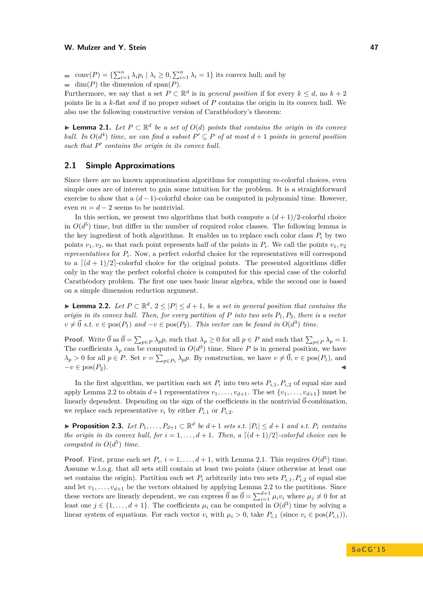conv $(P) = \{\sum_{i=1}^{n} \lambda_i p_i \mid \lambda_i \geq 0, \sum_{i=1}^{n} \lambda_i = 1\}$  its convex hull; and by  $\equiv$  dim(*P*) the dimension of span(*P*).

Furthermore, we say that a set  $P \subset \mathbb{R}^d$  is in *general position* if for every  $k \leq d$ , no  $k + 2$ points lie in a *k*-flat *and* if no proper subset of *P* contains the origin in its convex hull. We also use the following constructive version of Carathéodory's theorem:

<span id="page-3-1"></span>▶ **Lemma 2.1.** *Let*  $P \subset \mathbb{R}^d$  *be a set of*  $O(d)$  *points that contains the origin in its convex hull.* In  $O(d^4)$  *time, we can find a subset*  $P' \subseteq P$  *of at most*  $d+1$  *points in general position* such that  $P'$  contains the origin in its convex hull.

## **2.1 Simple Approximations**

Since there are no known approximation algorithms for computing *m*-colorful choices, even simple ones are of interest to gain some intuition for the problem. It is a straightforward exercise to show that a  $(d-1)$ -colorful choice can be computed in polynomial time. However, even  $m = d - 2$  seems to be nontrivial.

In this section, we present two algorithms that both compute a  $(d+1)/2$ -colorful choice in  $O(d^5)$  time, but differ in the number of required color classes. The following lemma is the key ingredient of both algorithms. It enables us to replace each color class  $P_i$  by two points  $v_1, v_2$ , so that each point represents half of the points in  $P_i$ . We call the points  $v_1, v_2$ *representatives* for *P<sup>i</sup>* . Now, a perfect colorful choice for the representatives will correspond to a  $\left[$  $\frac{d+1}{2}$ -colorful choice for the original points. The presented algorithms differ only in the way the perfect colorful choice is computed for this special case of the colorful Carathéodory problem. The first one uses basic linear algebra, while the second one is based on a simple dimension reduction argument.

<span id="page-3-0"></span>**► Lemma 2.2.** Let  $P \subset \mathbb{R}^d$ ,  $2 \leq |P| \leq d+1$ , be a set in general position that contains the *origin in its convex hull. Then, for every partition of P into two sets P*1*, P*2*, there is a vector*  $v \neq \vec{0}$  *s.t.*  $v \in \text{pos}(P_1)$  *and*  $-v \in \text{pos}(P_2)$ *. This vector can be found in*  $O(d^3)$  *time.* 

**Proof.** Write  $\vec{0}$  as  $\vec{0} = \sum_{p \in P} \lambda_p p$ , such that  $\lambda_p \geq 0$  for all  $p \in P$  and such that  $\sum_{p \in P} \lambda_p = 1$ . The coefficients  $\lambda_p$  can be computed in  $O(d^3)$  time. Since P is in general position, we have  $\lambda_p > 0$  for all  $p \in P$ . Set  $v = \sum_{p \in P_1} \lambda_p p$ . By construction, we have  $v \neq \vec{0}$ ,  $v \in \text{pos}(P_1)$ , and  $-v \in \text{pos}(P_2).$ 

In the first algorithm, we partition each set  $P_i$  into two sets  $P_{i,1}, P_{i,2}$  of equal size and apply Lemma [2.2](#page-3-0) to obtain  $d+1$  representatives  $v_1, \ldots, v_{d+1}$ . The set  $\{v_1, \ldots, v_{d+1}\}$  must be linearly dependent. Depending on the sign of the coefficients in the nontrivial  $\vec{0}$ -combination, we replace each representative  $v_i$  by either  $P_{i,1}$  or  $P_{i,2}$ .

<span id="page-3-2"></span>▶ **Proposition 2.3.** Let  $P_1, \ldots, P_{d+1} \subset \mathbb{R}^d$  be  $d+1$  sets s.t.  $|P_i| \leq d+1$  and s.t.  $P_i$  contains *the origin in its convex hull, for*  $i = 1, \ldots, d + 1$ *. Then, a*  $\lceil (d+1)/2 \rceil$ *-colorful choice can be computed in*  $O(d^5)$  *time.* 

**Proof.** First, prune each set  $P_i$ ,  $i = 1, ..., d + 1$ , with Lemma [2.1.](#page-3-1) This requires  $O(d^5)$  time. Assume w.l.o.g. that all sets still contain at least two points (since otherwise at least one set contains the origin). Partition each set  $P_i$  arbitrarily into two sets  $P_{i,1}, P_{i,2}$  of equal size and let  $v_1, \ldots, v_{d+1}$  be the vectors obtained by applying Lemma [2.2](#page-3-0) to the partitions. Since these vectors are linearly dependent, we can express  $\vec{0}$  as  $\vec{0} = \sum_{i=1}^{d+1} \mu_i v_i$  where  $\mu_j \neq 0$  for at least one  $j \in \{1, \ldots, d+1\}$ . The coefficients  $\mu_i$  can be computed in  $O(d^3)$  time by solving a linear system of equations. For each vector  $v_i$  with  $\mu_i > 0$ , take  $P_{i,1}$  (since  $v_i \in \text{pos}(P_{i,1})$ ),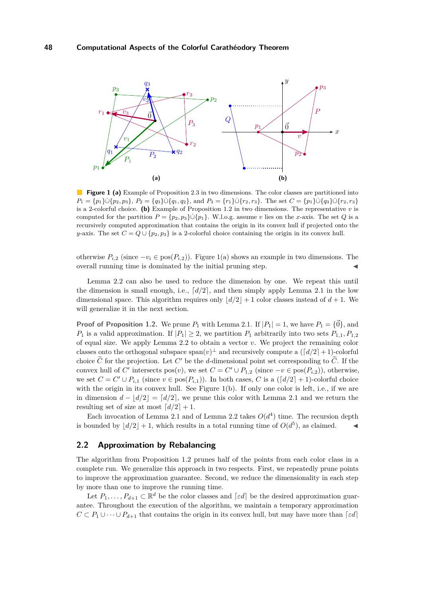<span id="page-4-2"></span><span id="page-4-0"></span>

<span id="page-4-1"></span>**Figure 1 [\(a\)](#page-4-0)** Example of Proposition [2.3](#page-3-2) in two dimensions. The color classes are partitioned into  $P_1 = \{p_1\} \cup \{p_2, p_3\}, P_2 = \{q_3\} \cup \{q_1, q_2\}, \text{ and } P_3 = \{r_1\} \cup \{r_2, r_3\}.$  The set  $C = \{p_1\} \cup \{q_3\} \cup \{r_2, r_3\}$ is a 2-colorful choice. **[\(b\)](#page-4-1)** Example of Proposition [1.2](#page-2-0) in two dimensions. The representative  $v$  is computed for the partition  $P = \{p_2, p_3\} \cup \{p_1\}$ . W.l.o.g. assume *v* lies on the *x*-axis. The set *Q* is a recursively computed approximation that contains the origin in its convex hull if projected onto the *y*-axis. The set  $C = Q \cup \{p_2, p_3\}$  is a 2-colorful choice containing the origin in its convex hull.

otherwise  $P_{i,2}$  (since  $-v_i \in \text{pos}(P_{i,2})$ ). Figure [1](#page-4-2)[\(a\)](#page-4-0) shows an example in two dimensions. The overall running time is dominated by the initial pruning step.

Lemma [2.2](#page-3-0) can also be used to reduce the dimension by one. We repeat this until the dimension is small enough, i.e.,  $\lceil d/2 \rceil$ , and then simply apply Lemma [2.1](#page-3-1) in the low dimensional space. This algorithm requires only  $\frac{d}{2} + 1$  color classes instead of  $d + 1$ . We will generalize it in the next section.

**Proof of Proposition [1.2.](#page-2-0)** We prune  $P_1$  with Lemma [2.1.](#page-3-1) If  $|P_1| = 1$ , we have  $P_1 = \{\vec{0}\}\$ , and *P*<sub>1</sub> is a valid approximation. If  $|P_1| \geq 2$ , we partition  $P_1$  arbitrarily into two sets  $P_{1,1}, P_{1,2}$ of equal size. We apply Lemma [2.2](#page-3-0) to obtain a vector *v*. We project the remaining color classes onto the orthogonal subspace  $\text{span}(v)^\perp$  and recursively compute a  $([d/2]+1)$ -colorful choice  $\tilde{C}$  for the projection. Let  $C'$  be the *d*-dimensional point set corresponding to  $\tilde{C}$ . If the convex hull of *C*<sup> $\prime$ </sup> intersects pos $(v)$ , we set  $C = C' \cup P_{1,2}$  (since  $-v \in \text{pos}(P_{i,2})$ ), otherwise, we set  $C = C' \cup P_{i,1}$  (since  $v \in \text{pos}(P_{i,1})$ ). In both cases, *C* is a ( $\lceil d/2 \rceil + 1$ )-colorful choice with the origin in its convex hull. See Figure  $1(b)$ . If only one color is left, i.e., if we are in dimension  $d - |d/2| = |d/2|$ , we prune this color with Lemma [2.1](#page-3-1) and we return the resulting set of size at most  $\lceil d/2 \rceil + 1$ .

Each invocation of Lemma [2.1](#page-3-1) and of Lemma [2.2](#page-3-0) takes  $O(d^4)$  time. The recursion depth is bounded by  $\left| d/2 \right| + 1$ , which results in a total running time of  $O(d^5)$ , as claimed.

## **2.2 Approximation by Rebalancing**

The algorithm from Proposition [1.2](#page-2-0) prunes half of the points from each color class in a complete run. We generalize this approach in two respects. First, we repeatedly prune points to improve the approximation guarantee. Second, we reduce the dimensionality in each step by more than one to improve the running time.

Let  $P_1, \ldots, P_{d+1} \subset \mathbb{R}^d$  be the color classes and  $\lceil \varepsilon d \rceil$  be the desired approximation guarantee. Throughout the execution of the algorithm, we maintain a temporary approximation  $C \subset P_1 \cup \cdots \cup P_{d+1}$  that contains the origin in its convex hull, but may have more than  $\lceil \varepsilon d \rceil$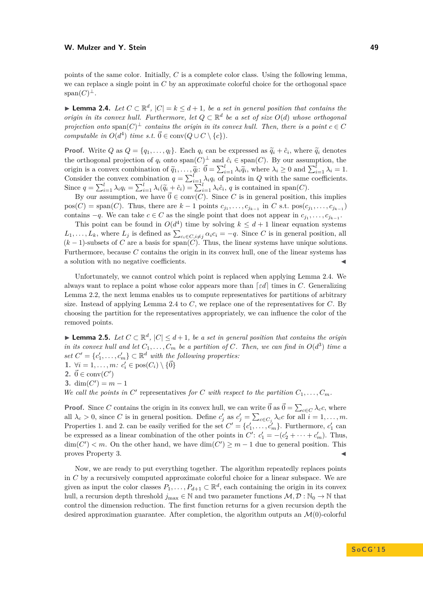## **W. Mulzer and Y. Stein 49**

<span id="page-5-0"></span>**► Lemma 2.4.** *Let*  $C \subset \mathbb{R}^d$ ,  $|C| = k \leq d+1$ , *be a set in general position that contains the origin in its convex hull. Furthermore, let*  $Q \subset \mathbb{R}^d$  *be a set of size*  $O(d)$  *whose orthogonal projection onto*  $\text{span}(C)^{\perp}$  *contains the origin in its convex hull. Then, there is a point*  $c \in C$ *computable in*  $O(d^4)$  *time s.t.*  $\vec{0} \in \text{conv}(Q \cup C \setminus \{c\})$ *.* 

**Proof.** Write Q as  $Q = \{q_1, ..., q_l\}$ . Each  $q_i$  can be expressed as  $\tilde{q}_i + \hat{c}_i$ , where  $\tilde{q}_i$  denotes the orthogonal projection of  $q_i$  onto  $\text{span}(C)^{\perp}$  and  $\hat{c}_i \in \text{span}(C)$ . By our assumption, the origin is a convex combination of  $\tilde{q}_1, \ldots, \tilde{q}_l: \vec{0} = \sum_{i=1}^l \lambda_i \tilde{q}_i$ , where  $\lambda_i \geq 0$  and  $\sum_{i=1}^l \lambda_i = 1$ . Consider the convex combination  $q = \sum_{i=1}^{l} \lambda_i q_i$  of points in *Q* with the same coefficients. Since  $q = \sum_{i=1}^{l} \lambda_i q_i = \sum_{i=1}^{l} \lambda_i (\widetilde{q}_i + \hat{c}_i) = \sum_{i=1}^{l} \lambda_i \hat{c}_i, q$  is contained in span(C).

By our assumption, we have  $\vec{0} \in \text{conv}(C)$ . Since *C* is in general position, this implies  $pos(C) = span(C)$ . Thus, there are  $k-1$  points  $c_{j_1}, \ldots, c_{j_{k-1}}$  in *C* s.t.  $pos(c_{j_1}, \ldots, c_{j_{k-1}})$ contains  $-q$ . We can take  $c \in C$  as the single point that does not appear in  $c_{j_1}, \ldots, c_{j_{k-1}}$ .

This point can be found in  $O(d^4)$  time by solving  $k \leq d+1$  linear equation systems  $L_1, \ldots, L_k$ , where  $L_j$  is defined as  $\sum_{c_i \in C, i \neq j} \alpha_i c_i = -q$ . Since *C* is in general position, all  $(k-1)$ -subsets of *C* are a basis for span(*C*). Thus, the linear systems have unique solutions. Furthermore, because *C* contains the origin in its convex hull, one of the linear systems has a solution with no negative coefficients.

Unfortunately, we cannot control which point is replaced when applying Lemma [2.4.](#page-5-0) We always want to replace a point whose color appears more than  $\lceil \varepsilon d \rceil$  times in *C*. Generalizing Lemma [2.2,](#page-3-0) the next lemma enables us to compute representatives for partitions of arbitrary size. Instead of applying Lemma [2.4](#page-5-0) to *C*, we replace one of the representatives for *C*. By choosing the partition for the representatives appropriately, we can influence the color of the removed points.

<span id="page-5-1"></span>**► Lemma 2.5.** Let  $C \subset \mathbb{R}^d$ ,  $|C| \leq d+1$ , be a set in general position that contains the origin *in its convex hull and let*  $C_1, \ldots, C_m$  *be a partition of*  $C$ *. Then, we can find in*  $O(d^3)$  *time a set*  $C' = \{c'_1, \ldots, c'_m\} \subset \mathbb{R}^d$  *with the following properties:* 1.  $\forall i = 1, \ldots, m$ :  $c_i' \in \text{pos}(C_i) \setminus {\{\vec{0}\}}$ 

2.  $\vec{0} \in \text{conv}(C')$ 

**3.** dim( $C'$ ) =  $m - 1$ 

*We call the points in*  $C'$  representatives *for*  $C$  *with respect to the partition*  $C_1, \ldots, C_m$ *.* 

**Proof.** Since *C* contains the origin in its convex hull, we can write  $\vec{0}$  as  $\vec{0} = \sum_{c \in C} \lambda_c c$ , where all  $\lambda_c > 0$ , since *C* is in general position. Define  $c'_j$  as  $c'_j = \sum_{c \in C_j} \lambda_c c$  for all  $i = 1, \ldots, m$ . Properties 1. and 2. can be easily verified for the set  $C' = \{c'_1, \ldots, c'_m\}$ . Furthermore,  $c'_1$  can be expressed as a linear combination of the other points in  $C'$ :  $c'_1 = -(c'_2 + \cdots + c'_m)$ . Thus,  $\dim(C') < m$ . On the other hand, we have  $\dim(C') \geq m-1$  due to general position. This proves Property 3.

Now, we are ready to put everything together. The algorithm repeatedly replaces points in *C* by a recursively computed approximate colorful choice for a linear subspace. We are given as input the color classes  $P_1, \ldots, P_{d+1} \subset \mathbb{R}^d$ , each containing the origin in its convex hull, a recursion depth threshold  $j_{\text{max}} \in \mathbb{N}$  and two parameter functions  $\mathcal{M}, \mathcal{D} : \mathbb{N}_0 \to \mathbb{N}$  that control the dimension reduction. The first function returns for a given recursion depth the desired approximation guarantee. After completion, the algorithm outputs an  $\mathcal{M}(0)$ -colorful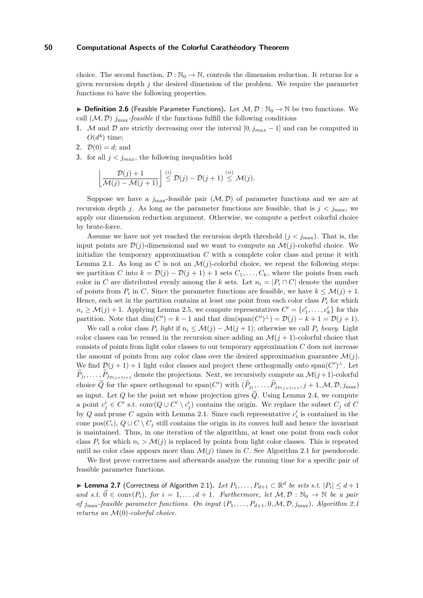choice. The second function,  $\mathcal{D}: \mathbb{N}_0 \to \mathbb{N}$ , controls the dimension reduction. It returns for a given recursion depth  $j$  the desired dimension of the problem. We require the parameter functions to have the following properties.

**► Definition 2.6** (Feasible Parameter Functions). Let  $M, D : \mathbb{N}_0 \to \mathbb{N}$  be two functions. We call  $(M, D)$   $j_{\text{max}}$ -*feasible* if the functions fulfill the following conditions

- **1.** M and D are strictly decreasing over the interval [0*, j<sub>max</sub>* 1] and can be computed in  $O(d^4)$  time;
- **2.**  $\mathcal{D}(0) = d$ ; and
- **3.** for all  $j < j_{max}$ , the following inequalities hold

$$
\left\lfloor \frac{\mathcal{D}(j)+1}{\mathcal{M}(j)-\mathcal{M}(j+1)} \right\rfloor \stackrel{(i)}{\leq} \mathcal{D}(j)-\mathcal{D}(j+1) \stackrel{(ii)}{\leq} \mathcal{M}(j).
$$

Suppose we have a  $j_{\text{max}}$ -feasible pair  $(M, D)$  of parameter functions and we are at recursion depth *j*. As long as the parameter functions are feasible, that is  $j < j_{\text{max}}$ , we apply our dimension reduction argument. Otherwise, we compute a perfect colorful choice by brute-force.

Assume we have not yet reached the recursion depth threshold  $(j < j<sub>max</sub>)$ . That is, the input points are  $\mathcal{D}(j)$ -dimensional and we want to compute an  $\mathcal{M}(j)$ -colorful choice. We initialize the temporary approximation *C* with a complete color class and prune it with Lemma [2.1.](#page-3-1) As long as C is not an  $\mathcal{M}(j)$ -colorful choice, we repeat the following steps: we partition *C* into  $k = \mathcal{D}(j) - \mathcal{D}(j + 1) + 1$  sets  $C_1, \ldots, C_k$ , where the points from each color in *C* are distributed evenly among the *k* sets. Let  $n_i = |P_i \cap C|$  denote the number of points from  $P_i$  in C. Since the parameter functions are feasible, we have  $k \leq \mathcal{M}(j) + 1$ . Hence, each set in the partition contains at least one point from each color class  $P_i$  for which  $n_i \geq \mathcal{M}(j) + 1$ . Applying Lemma [2.5,](#page-5-1) we compute representatives  $C' = \{c'_1, \ldots, c'_k\}$  for this partition. Note that  $\dim(C') = k - 1$  and that  $\dim(\text{span}(C')^{\perp}) = \mathcal{D}(j) - k + 1 = \mathcal{D}(j + 1)$ .

We call a color class  $P_i$  light if  $n_i \leq \mathcal{M}(j) - \mathcal{M}(j+1)$ ; otherwise we call  $P_i$  *heavy*. Light color classes can be reused in the recursion since adding an  $\mathcal{M}(j + 1)$ -colorful choice that consists of points from light color classes to our temporary approximation *C* does not increase the amount of points from any color class over the desired approximation guarantee  $\mathcal{M}(j)$ . We find  $\mathcal{D}(j+1)+1$  light color classes and project these orthogonally onto span $(C')^{\perp}$ . Let  $P_{j_1}, \ldots, P_{j_{\mathcal{D}(j+1)+1}}$  denote the projections. Next, we recursively compute an  $\mathcal{M}(j+1)$ -colorful choice  $\tilde{Q}$  for the space orthogonal to span $(C')$  with  $(\tilde{P}_{j_1}, \ldots, \tilde{P}_{j_{\mathcal{D}(j+1)+1}}, j+1, \mathcal{M}, \mathcal{D}, j_{\max})$ as input. Let *Q* be the point set whose projection gives  $\widetilde{Q}$ . Using Lemma [2.4,](#page-5-0) we compute a point  $c'_{j} \in C'$  s.t. conv $(Q \cup C' \setminus c'_{j})$  contains the origin. We replace the subset  $C_{j}$  of  $C$ by *Q* and prune *C* again with Lemma [2.1.](#page-3-1) Since each representative  $c_i$  is contained in the cone pos $(C_i)$ ,  $Q \cup C \setminus C_j$  still contains the origin in its convex hull and hence the invariant is maintained. Thus, in one iteration of the algorithm, at least one point from each color class  $P_i$  for which  $n_i > \mathcal{M}(i)$  is replaced by points from light color classes. This is repeated until no color class appears more than  $\mathcal{M}(j)$  times in *C*. See Algorithm [2.1](#page-7-0) for pseudocode.

We first prove correctness and afterwards analyze the running time for a specific pair of feasible parameter functions.

<span id="page-6-0"></span>▶ Lemma 2.7 (Correctness of Algorithm [2.1\)](#page-7-0). *Let*  $P_1, \ldots, P_{d+1} \subset \mathbb{R}^d$  *be sets s.t.*  $|P_i| \leq d+1$ *and s.t.*  $\vec{0} \in \text{conv}(P_i)$ , for  $i = 1, ..., d+1$ . Furthermore, let  $M, \mathcal{D} : \mathbb{N}_0 \to \mathbb{N}$  be a pair *of*  $j_{\text{max}}$ -feasible parameter functions. On input  $(P_1, \ldots, P_{d+1}, 0, \mathcal{M}, \mathcal{D}, j_{\text{max}})$ *, Algorithm* [2.1](#page-7-0) *returns an* M(0)*-colorful choice.*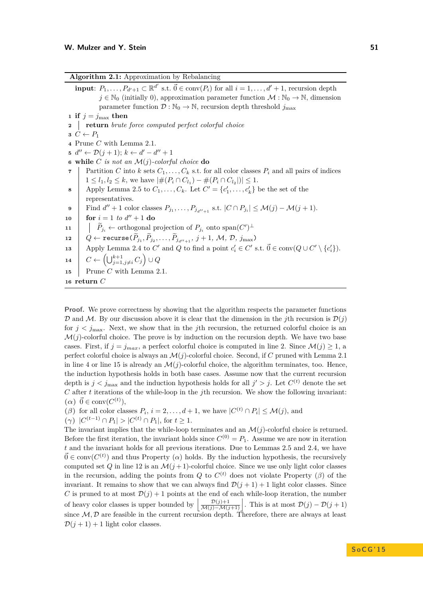|  | Algorithm 2.1: Approximation by Rebalancing |  |
|--|---------------------------------------------|--|
|  |                                             |  |

<span id="page-7-5"></span><span id="page-7-2"></span><span id="page-7-1"></span>**input**:  $P_1, \ldots, P_{d'+1} \subset \mathbb{R}^{d'}$  s.t.  $\vec{0} \in \text{conv}(P_i)$  for all  $i = 1, \ldots, d' + 1$ , recursion depth  $j \in \mathbb{N}_0$  (initially 0), approximation parameter function  $\mathcal{M} : \mathbb{N}_0 \to \mathbb{N}$ , dimension parameter function  $\mathcal{D}: \mathbb{N}_0 \to \mathbb{N}$ , recursion depth threshold  $j_{\text{max}}$  **if**  $j = j_{\text{max}}$  **then return** *brute force computed perfect colorful choice*  $C \leftarrow P_1$  Prune *C* with Lemma [2.1.](#page-3-1)  $d''$  ←  $D(j + 1); k$  ←  $d' - d'' + 1$  **while** *C is not an* M(*j*)*-colorful choice* **do** Partition *C* into *k* sets  $C_1, \ldots, C_k$  s.t. for all color classes  $P_i$  and all pairs of indices  $1 \leq l_1, l_2 \leq k$ , we have  $|\#(P_i \cap C_{l_1}) - \#(P_i \cap C_{l_2})| \leq 1$ . Apply Lemma [2.5](#page-5-1) to  $C_1, \ldots, C_k$ . Let  $C' = \{c'_1, \ldots, c'_k\}$  be the set of the representatives.  $\left| \text{Find } d'' + 1 \text{ color classes } P_{j_1}, \dots, P_{j_{d''+1}} \text{ s.t. } |C \cap P_{j_i}| \leq \mathcal{M}(j) - \mathcal{M}(j+1).$  $10 \ \ \ \ \ \ \ \ \ \textbf{for} \ \ i=1 \ \ to \ \ d''+1 \ \ \textbf{do}$  $\left| \right| \left| \right| P_{j_i} \leftarrow \text{orthogonal projection of } P_{j_i} \text{ onto } \text{span}(C')^{\perp}$  $Q \leftarrow \texttt{recursive}(P_{j_1}, P_{j_2}, \dots, P_{j_{d''+1}}, j+1, \mathcal{M}, \mathcal{D}, j_{\max})$  Apply Lemma [2.4](#page-5-0) to *C*' and *Q* to find a point  $c_i' \in C'$  s.t.  $\vec{0} \in \text{conv}(Q \cup C' \setminus \{c_i'\})$ .  $C \leftarrow \left(\bigcup_{j=1, j\neq i}^{k+1} C_j\right) \cup Q$  Prune *C* with Lemma [2.1.](#page-3-1) **<sup>16</sup> return** *C*

<span id="page-7-6"></span><span id="page-7-4"></span><span id="page-7-3"></span><span id="page-7-0"></span>**Proof.** We prove correctness by showing that the algorithm respects the parameter functions  $\mathcal{D}$  and  $\mathcal{M}$ . By our discussion above it is clear that the dimension in the *j*th recursion is  $\mathcal{D}(i)$ for  $j < j_{\text{max}}$ . Next, we show that in the *j*th recursion, the returned colorful choice is an  $\mathcal{M}(j)$ -colorful choice. The prove is by induction on the recursion depth. We have two base cases. First, if  $j = j_{max}$ , a perfect colorful choice is computed in line [2.](#page-7-1) Since  $\mathcal{M}(j) \geq 1$ , a perfect colorful choice is always an M(*j*)-colorful choice. Second, if *C* pruned with Lemma [2.1](#page-3-1) in line [4](#page-7-2) or line [15](#page-7-3) is already an  $\mathcal{M}(j)$ -colorful choice, the algorithm terminates, too. Hence, the induction hypothesis holds in both base cases. Assume now that the current recursion depth is  $j < j_{\text{max}}$  and the induction hypothesis holds for all  $j' > j$ . Let  $C^{(t)}$  denote the set *C* after *t* iterations of the while-loop in the *j*th recursion. We show the following invariant:  $(\alpha) \ \vec{0} \in \text{conv}(C^{(t)}),$ 

(*β*) for all color classes  $P_i$ ,  $i = 2, ..., d + 1$ , we have  $|C^{(t)} \cap P_i| \leq \mathcal{M}(j)$ , and

**(***γ***)** |*C* (*t*−1) ∩ *P*1| *>* |*C* (*t*) ∩ *P*1|, for *t* ≥ 1.

The invariant implies that the while-loop terminates and an  $\mathcal{M}(j)$ -colorful choice is returned. Before the first iteration, the invariant holds since  $C^{(0)} = P_1$ . Assume we are now in iteration *t* and the invariant holds for all previous iterations. Due to Lemmas [2.5](#page-5-1) and [2.4,](#page-5-0) we have  $\vec{0} \in \text{conv}(C^{(t)})$  and thus Property (*a*) holds. By the induction hypothesis, the recursively computed set *Q* in line [12](#page-7-4) is an  $\mathcal{M}(j+1)$ -colorful choice. Since we use only light color classes in the recursion, adding the points from *Q* to  $C^{(t)}$  does not violate Property ( $\beta$ ) of the invariant. It remains to show that we can always find  $\mathcal{D}(j + 1) + 1$  light color classes. Since *C* is pruned to at most  $\mathcal{D}(i) + 1$  points at the end of each while-loop iteration, the number of heavy color classes is upper bounded by  $\left| \frac{\mathcal{D}(j)+1}{\mathcal{M}(j)-\mathcal{M}(j+1)} \right|$ . This is at most  $\mathcal{D}(j) - \mathcal{D}(j+1)$ since  $M, D$  are feasible in the current recursion depth. Therefore, there are always at least  $\mathcal{D}(i+1) + 1$  light color classes.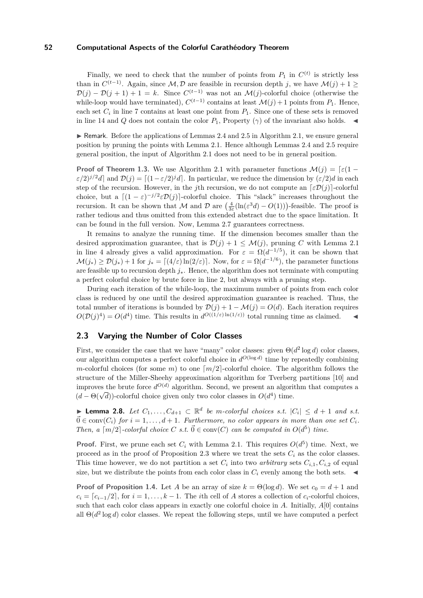Finally, we need to check that the number of points from  $P_1$  in  $C^{(t)}$  is strictly less than in  $C^{(t-1)}$ . Again, since  $\mathcal{M}, \mathcal{D}$  are feasible in recursion depth *j*, we have  $\mathcal{M}(j) + 1 \geq$  $\mathcal{D}(j) - \mathcal{D}(j+1) + 1 = k$ . Since  $C^{(t-1)}$  was not an  $\mathcal{M}(j)$ -colorful choice (otherwise the while-loop would have terminated),  $C^{(t-1)}$  contains at least  $\mathcal{M}(j) + 1$  points from  $P_1$ . Hence, each set  $C_i$  in line [7](#page-7-5) contains at least one point from  $P_1$ . Since one of these sets is removed in line [14](#page-7-6) and *Q* does not contain the color  $P_1$ , Property ( $\gamma$ ) of the invariant also holds.

 $\triangleright$  Remark. Before the applications of Lemmas [2.4](#page-5-0) and [2.5](#page-5-1) in Algorithm [2.1,](#page-7-0) we ensure general position by pruning the points with Lemma [2.1.](#page-3-1) Hence although Lemmas [2.4](#page-5-0) and [2.5](#page-5-1) require general position, the input of Algorithm [2.1](#page-7-0) does not need to be in general position.

**Proof of Theorem [1.3.](#page-2-1)** We use Algorithm [2.1](#page-7-0) with parameter functions  $\mathcal{M}(i) = \lceil \varepsilon(1 - i)\rceil$  $\varepsilon/2$ )<sup>*j*/2</sup>*d*] and  $\mathcal{D}(j) = [(1-\varepsilon/2)^j d]$ . In particular, we reduce the dimension by  $(\varepsilon/2)d$  in each step of the recursion. However, in the *j*th recursion, we do not compute an  $\lceil \varepsilon \mathcal{D}(j) \rceil$ -colorful choice, but a  $[(1 - \varepsilon)^{-j/2} \varepsilon \mathcal{D}(j)]$ -colorful choice. This "slack" increases throughout the recursion. It can be shown that M and D are  $\left(\frac{4}{3\varepsilon}(\ln(\varepsilon^3 d) - O(1))\right)$ -feasible. The proof is rather tedious and thus omitted from this extended abstract due to the space limitation. It can be found in the full version. Now, Lemma [2.7](#page-6-0) guarantees correctness.

It remains to analyze the running time. If the dimension becomes smaller than the desired approximation guarantee, that is  $\mathcal{D}(j) + 1 \leq \mathcal{M}(j)$ , pruning C with Lemma [2.1](#page-3-1) in line [4](#page-7-2) already gives a valid approximation. For  $\varepsilon = \Omega(d^{-1/5})$ , it can be shown that  $\mathcal{M}(j_*) \ge \mathcal{D}(j_*) + 1$  for  $j_* = \lceil (4/\varepsilon) \ln(2/\varepsilon) \rceil$ . Now, for  $\varepsilon = \Omega(d^{-1/6})$ , the parameter functions are feasible up to recursion depth *j*∗. Hence, the algorithm does not terminate with computing a perfect colorful choice by brute force in line [2,](#page-7-1) but always with a pruning step.

During each iteration of the while-loop, the maximum number of points from each color class is reduced by one until the desired approximation guarantee is reached. Thus, the total number of iterations is bounded by  $\mathcal{D}(j) + 1 - \mathcal{M}(j) = O(d)$ . Each iteration requires  $O(D(j)^4) = O(d^4)$  time. This results in  $d^{O((1/\varepsilon) \ln(1/\varepsilon))}$  total running time as claimed.

## <span id="page-8-1"></span>**2.3 Varying the Number of Color Classes**

First, we consider the case that we have "many" color classes: given  $\Theta(d^2 \log d)$  color classes, our algorithm computes a perfect colorful choice in  $d^{O(\log d)}$  time by repeatedly combining *m*-colorful choices (for some *m*) to one  $\lceil m/2 \rceil$ -colorful choice. The algorithm follows the structure of the Miller-Sheehy approximation algorithm for Tverberg partitions [\[10\]](#page-14-12) and improves the brute force  $d^{O(d)}$  algorithm. Second, we present an algorithm that computes a d  $(d - \Theta(\sqrt{d}))$ -colorful choice given only two color classes in  $O(d^4)$  time.

<span id="page-8-0"></span>▶ **Lemma 2.8.** *Let*  $C_1, \ldots, C_{d+1} \subset \mathbb{R}^d$  *be m-colorful choices s.t.*  $|C_i|$  ≤  $d+1$  *and s.t.*  $\vec{0} \in \text{conv}(C_i)$  *for*  $i = 1, \ldots, d + 1$ *. Furthermore, no color appears in more than one set*  $C_i$ *. Then, a*  $[m/2]$ -colorful choice *C s.t.*  $\vec{0} \in \text{conv}(C)$  *can be computed in*  $O(d^5)$  *time.* 

**Proof.** First, we prune each set  $C_i$  with Lemma [2.1.](#page-3-1) This requires  $O(d^5)$  time. Next, we proceed as in the proof of Proposition [2.3](#page-3-2) where we treat the sets  $C_i$  as the color classes. This time however, we do not partition a set  $C_i$  into two *arbitrary* sets  $C_{i,1}, C_{i,2}$  of equal size, but we distribute the points from each color class in  $C_i$  evenly among the both sets.

**Proof of Proposition [1.4.](#page-2-2)** Let *A* be an array of size  $k = \Theta(\log d)$ . We set  $c_0 = d + 1$  and  $c_i = [c_{i-1}/2]$ , for  $i = 1, \ldots, k-1$ . The *i*th cell of *A* stores a collection of  $c_i$ -colorful choices, such that each color class appears in exactly one colorful choice in *A*. Initially, *A*[0] contains all  $\Theta(d^2 \log d)$  color classes. We repeat the following steps, until we have computed a perfect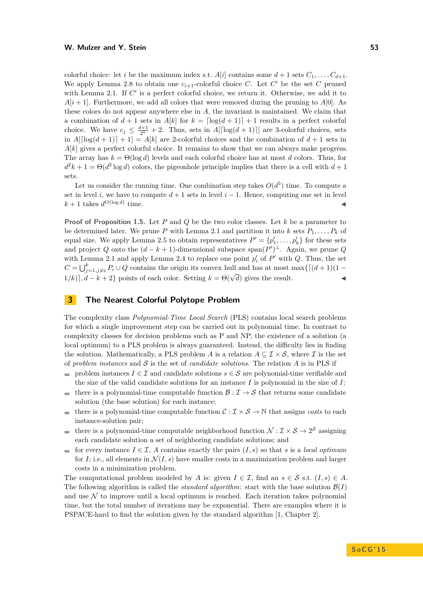colorful choice: let *i* be the maximum index s.t.  $A[i]$  contains some  $d+1$  sets  $C_1, \ldots, C_{d+1}$ . We apply Lemma [2.8](#page-8-0) to obtain one  $c_{i+1}$ -colorful choice *C*. Let  $C'$  be the set  $C$  pruned with Lemma [2.1.](#page-3-1) If  $C'$  is a perfect colorful choice, we return it. Otherwise, we add it to  $A[i+1]$ . Furthermore, we add all colors that were removed during the pruning to  $A[0]$ . As these colors do not appear anywhere else in *A*, the invariant is maintained. We claim that a combination of  $d+1$  sets in  $A[k]$  for  $k = \lfloor \log(d+1) \rfloor + 1$  results in a perfect colorful choice. We have  $c_j \leq \frac{d+1}{2^k} + 2$ . Thus, sets in  $A[\lceil \log(d+1) \rceil]$  are 3-colorful choices, sets in  $A\left[\log(d+1)\right]+1=A\left[k\right]$  are 2-colorful choices and the combination of  $d+1$  sets in  $A[k]$  gives a perfect colorful choice. It remains to show that we can always make progress. The array has  $k = \Theta(\log d)$  levels and each colorful choice has at most *d* colors. Thus, for  $d^2k + 1 = \Theta(d^2 \log d)$  colors, the pigeonhole principle implies that there is a cell with  $d+1$ sets.

Let us consider the running time. One combination step takes  $O(d^5)$  time. To compute a set in level *i*, we have to compute  $d+1$  sets in level  $i-1$ . Hence, computing one set in level  $k + 1$  takes  $d^{O(\log d)}$  $time.$ 

**Proof of Proposition [1.5.](#page-2-3)** Let *P* and *Q* be the two color classes. Let *k* be a parameter to be determined later. We prune *P* with Lemma [2.1](#page-3-1) and partition it into *k* sets  $P_1, \ldots, P_k$  of equal size. We apply Lemma [2.5](#page-5-1) to obtain representatives  $P' = \{p'_1, \ldots, p'_k\}$  for these sets and project *Q* onto the  $(d - k + 1)$ -dimensional subspace span $(P')^{\perp}$ . Again, we prune *Q* with Lemma [2.1](#page-3-1) and apply Lemma [2.4](#page-5-0) to replace one point  $p'_i$  of  $P'$  with  $Q$ . Thus, the set  $C = \bigcup_{j=1,j\neq i}^k P_i \cup Q$  contains the origin its convex hull and has at most max $\{[(d+1)(1 - 1)]\}$  $(1/k)$ ,  $d - k + 2$ } points of each color. Setting  $k = \Theta(\sqrt{d})$  gives the result.

# **3 The Nearest Colorful Polytope Problem**

The complexity class *Polynomial-Time Local Search* (PLS) contains local search problems for which a single improvement step can be carried out in polynomial time. In contrast to complexity classes for decision problems such as P and NP, the existence of a solution (a local optimum) to a PLS problem is always guaranteed. Instead, the difficulty lies in finding the solution. Mathematically, a PLS problem *A* is a relation  $A \subseteq \mathcal{I} \times \mathcal{S}$ , where *I* is the set of *problem instances* and  $S$  is the set of *candidate solutions*. The relation  $A$  is in PLS if

- problem instances  $I \in \mathcal{I}$  and candidate solutions  $s \in \mathcal{S}$  are polynomial-time verifiable and the size of the valid candidate solutions for an instance  $I$  is polynomial in the size of  $I$ ;
- there is a polynomial-time computable function  $\mathcal{B}: \mathcal{I} \to \mathcal{S}$  that returns some candidate  $\rightarrow$ solution (the base solution) for each instance;
- there is a polynomial-time computable function  $C : \mathcal{I} \times \mathcal{S} \to \mathbb{N}$  that assigns *costs* to each **COL** instance-solution pair;
- there is a polynomial-time computable neighborhood function  $\mathcal{N}: \mathcal{I} \times \mathcal{S} \to 2^{\mathcal{S}}$  assigning  $\overline{\phantom{a}}$ each candidate solution a set of neighboring candidate solutions; and
- for every instance  $I \in \mathcal{I}$ , A contains exactly the pairs  $(I, s)$  so that *s* is a *local optimum*  $\rightarrow$ for *I*; i.e., all elements in  $\mathcal{N}(I, s)$  have smaller costs in a maximization problem and larger costs in a minimization problem.

The computational problem modeled by *A* is: given  $I \in \mathcal{I}$ , find an  $s \in \mathcal{S}$  s.t.  $(I, s) \in A$ . The following algorithm is called the *standard algorithm*: start with the base solution  $\mathcal{B}(I)$ and use  $\mathcal N$  to improve until a local optimum is reached. Each iteration takes polynomial time, but the total number of iterations may be exponential. There are examples where it is PSPACE-hard to find the solution given by the standard algorithm [\[1,](#page-14-13) Chapter 2].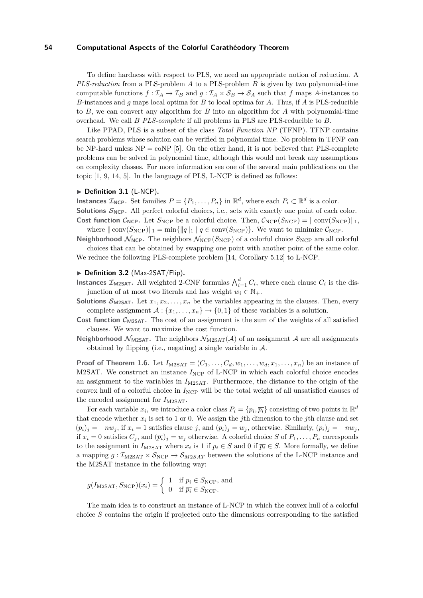To define hardness with respect to PLS, we need an appropriate notion of reduction. A *PLS-reduction* from a PLS-problem *A* to a PLS-problem *B* is given by two polynomial-time computable functions  $f : \mathcal{I}_A \to \mathcal{I}_B$  and  $g : \mathcal{I}_A \times \mathcal{S}_B \to \mathcal{S}_A$  such that *f* maps *A*-instances to *B*-instances and *g* maps local optima for *B* to local optima for *A*. Thus, if *A* is PLS-reducible to *B*, we can convert any algorithm for *B* into an algorithm for *A* with polynomial-time overhead. We call *B PLS-complete* if all problems in PLS are PLS-reducible to *B*.

Like PPAD, PLS is a subset of the class *Total Function NP* (TFNP). TFNP contains search problems whose solution can be verified in polynomial time. No problem in TFNP can be NP-hard unless  $NP = \text{coNP}$  [\[5\]](#page-14-7). On the other hand, it is not believed that PLS-complete problems can be solved in polynomial time, although this would not break any assumptions on complexity classes. For more information see one of the several main publications on the topic [\[1,](#page-14-13) [9,](#page-14-14) [14,](#page-14-15) [5\]](#page-14-7). In the language of PLS, L-NCP is defined as follows:

#### ▶ **Definition 3.1** (L-NCP).

**Instances**  $\mathcal{I}_{\text{NCP}}$ . Set families  $P = \{P_1, \ldots, P_n\}$  in  $\mathbb{R}^d$ , where each  $P_i \subset \mathbb{R}^d$  is a color. **Solutions**  $S_{\text{NCP}}$ . All perfect colorful choices, i.e., sets with exactly one point of each color. **Cost function**  $\mathcal{C}_{\text{NCP}}$ . Let  $S_{\text{NCP}}$  be a colorful choice. Then,  $\mathcal{C}_{\text{NCP}}(S_{\text{NCP}}) = ||\text{conv}(S_{\text{NCP}})||_1$ ,

where  $\|\text{conv}(S_{\text{NCP}})\|_1 = \min\{\|q\|_1 | q \in \text{conv}(S_{\text{NCP}})\}.$  We want to minimize  $\mathcal{C}_{\text{NCP}}$ . **Neighborhood**  $\mathcal{N}_{\text{NCP}}$ . The neighbors  $\mathcal{N}_{\text{NCP}}(S_{\text{NCP}})$  of a colorful choice  $S_{\text{NCP}}$  are all colorful

choices that can be obtained by swapping one point with another point of the same color. We reduce the following PLS-complete problem [\[14,](#page-14-15) Corollary 5.12] to L-NCP.

# ▶ **Definition 3.2** (Max-2SAT/Flip).

- **Instances**  $\mathcal{I}_{\text{M2SAT}}$ . All weighted 2-CNF formulas  $\bigwedge_{i=1}^{d} C_i$ , where each clause  $C_i$  is the disjunction of at most two literals and has weight  $w_i \in \mathbb{N}_+$ .
- **Solutions**  $\mathcal{S}_{M2SAT}$ . Let  $x_1, x_2, \ldots, x_n$  be the variables appearing in the clauses. Then, every complete assignment  $A: \{x_1, \ldots, x_n\} \to \{0,1\}$  of these variables is a solution.
- **Cost function**  $C_{M2SAT}$ . The cost of an assignment is the sum of the weights of all satisfied clauses. We want to maximize the cost function.
- **Neighborhood**  $\mathcal{N}_{\text{M2SAT}}$ . The neighbors  $\mathcal{N}_{\text{M2SAT}}(\mathcal{A})$  of an assignment  $\mathcal{A}$  are all assignments obtained by flipping (i.e., negating) a single variable in  $\mathcal{A}$ .

**Proof of Theorem [1.6.](#page-2-4)** Let  $I_{\text{M2SAT}} = (C_1, \ldots, C_d, w_1, \ldots, w_d, x_1, \ldots, x_n)$  be an instance of M2SAT. We construct an instance  $I_{\text{NCP}}$  of L-NCP in which each colorful choice encodes an assignment to the variables in  $I_{\text{M2SAT}}$ . Furthermore, the distance to the origin of the convex hull of a colorful choice in  $I_{\text{NCP}}$  will be the total weight of all unsatisfied clauses of the encoded assignment for  $I_{\text{M2SAT}}$ .

For each variable  $x_i$ , we introduce a color class  $P_i = \{p_i, \overline{p_i}\}\)$  consisting of two points in  $\mathbb{R}^d$ that encode whether  $x_i$  is set to 1 or 0. We assign the *j*th dimension to the *j*th clause and set  $(p_i)_j = -nv_j$ , if  $x_i = 1$  satisfies clause *j*, and  $(p_i)_j = w_j$ , otherwise. Similarly,  $(\overline{p_i})_j = -nv_j$ , if  $x_i = 0$  satisfies  $C_j$ , and  $(\overline{p_i})_j = w_j$  otherwise. A colorful choice *S* of  $P_1, \ldots, P_n$  corresponds to the assignment in  $I_{\text{M2SAT}}$  where  $x_i$  is 1 if  $p_i \in S$  and 0 if  $\overline{p_i} \in S$ . More formally, we define a mapping  $g : \mathcal{I}_{M2SAT} \times \mathcal{S}_{NCP} \rightarrow \mathcal{S}_{M2SAT}$  between the solutions of the L-NCP instance and the M2SAT instance in the following way:

$$
g(I_{\text{M2SAT}}, S_{\text{NCP}})(x_i) = \begin{cases} 1 & \text{if } p_i \in S_{\text{NCP}}, \text{ and} \\ 0 & \text{if } \overline{p_i} \in S_{\text{NCP}}. \end{cases}
$$

The main idea is to construct an instance of L-NCP in which the convex hull of a colorful choice *S* contains the origin if projected onto the dimensions corresponding to the satisfied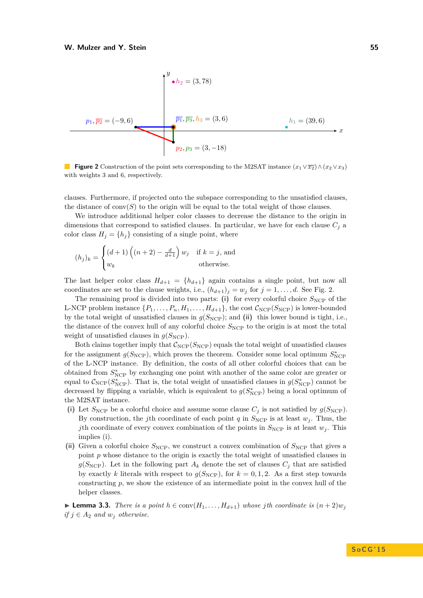<span id="page-11-0"></span>

**Figure 2** Construction of the point sets corresponding to the M2SAT instance  $(x_1 \vee \overline{x_2}) \wedge (x_2 \vee x_3)$ with weights 3 and 6, respectively.

clauses. Furthermore, if projected onto the subspace corresponding to the unsatisfied clauses, the distance of  $conv(S)$  to the origin will be equal to the total weight of those clauses.

We introduce additional helper color classes to decrease the distance to the origin in dimensions that correspond to satisfied clauses. In particular, we have for each clause  $C_i$  a color class  $H_j = \{h_j\}$  consisting of a single point, where

$$
(h_j)_k = \begin{cases} (d+1)\left((n+2) - \frac{d}{d+1}\right)w_j & \text{if } k = j \text{, and} \\ w_k & \text{otherwise.} \end{cases}
$$

The last helper color class  $H_{d+1} = \{h_{d+1}\}\$  again contains a single point, but now all coordinates are set to the clause weights, i.e.,  $(h_{d+1})_j = w_j$  for  $j = 1, \ldots, d$ . See Fig. [2.](#page-11-0)

The remaining proof is divided into two parts:  $(i)$  for every colorful choice  $S_{\text{NCP}}$  of the L-NCP problem instance  $\{P_1, \ldots, P_n, H_1, \ldots, H_{d+1}\}\)$ , the cost  $\mathcal{C}_{NCP}(S_{NCP})$  is lower-bounded by the total weight of unsatisfied clauses in  $g(S_{\text{NCP}})$ ; and (ii) this lower bound is tight, i.e., the distance of the convex hull of any colorful choice  $S_{\text{NCP}}$  to the origin is at most the total weight of unsatisfied clauses in  $g(S_{\text{NCP}})$ .

Both claims together imply that  $C_{NCP}(S_{NCP})$  equals the total weight of unsatisfied clauses for the assignment  $g(S_{\text{NCP}})$ , which proves the theorem. Consider some local optimum  $S_{\text{NCP}}^*$ of the L-NCP instance. By definition, the costs of all other colorful choices that can be obtained from  $S^*_{\text{NCP}}$  by exchanging one point with another of the same color are greater or equal to  $C_{\text{NCP}}(S_{\text{NCP}}^*)$ . That is, the total weight of unsatisfied clauses in  $g(S_{\text{NCP}}^*)$  cannot be decreased by flipping a variable, which is equivalent to  $g(S^*_{\text{NCP}})$  being a local optimum of the M2SAT instance.

- (i) Let  $S_{\text{NCP}}$  be a colorful choice and assume some clause  $C_j$  is not satisfied by  $g(S_{\text{NCP}})$ . By construction, the *j*th coordinate of each point *q* in  $S_{\text{NCP}}$  is at least *w<sub>j</sub>*. Thus, the *j*th coordinate of every convex combination of the points in  $S_{\text{NCP}}$  is at least  $w_j$ . This implies (i).
- (ii) Given a colorful choice  $S_{\text{NCP}}$ , we construct a convex combination of  $S_{\text{NCP}}$  that gives a point *p* whose distance to the origin is exactly the total weight of unsatisfied clauses in  $g(S_{\text{NCP}})$ . Let in the following part  $A_k$  denote the set of clauses  $C_j$  that are satisfied by exactly k literals with respect to  $g(S_{\text{NCP}})$ , for  $k = 0, 1, 2$ . As a first step towards constructing *p*, we show the existence of an intermediate point in the convex hull of the helper classes.

<span id="page-11-1"></span>► **Lemma 3.3.** *There is a point*  $h \in \text{conv}(H_1, \ldots, H_{d+1})$  *whose jth coordinate is*  $(n+2)w_j$ *if*  $j \in A_2$  *and*  $w_j$  *otherwise.*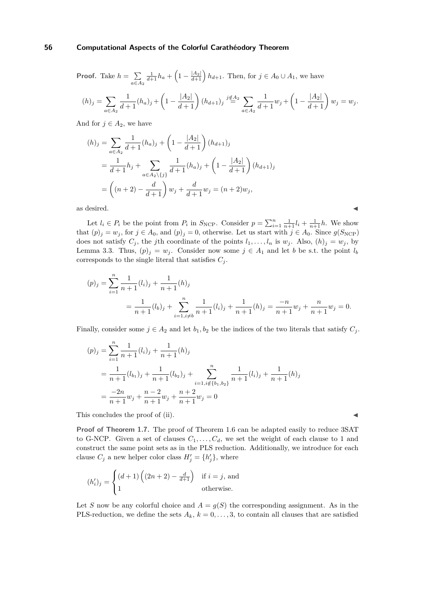**Proof.** Take  $h = \sum$ *a*∈*A*<sup>2</sup>  $\frac{1}{d+1}h_a + \left(1 - \frac{|A_2|}{d+1}\right)h_{d+1}$ . Then, for  $j \in A_0 \cup A_1$ , we have

$$
(h)_j = \sum_{a \in A_2} \frac{1}{d+1} (h_a)_j + \left(1 - \frac{|A_2|}{d+1}\right) (h_{d+1})_j \stackrel{j \notin A_2}{=} \sum_{a \in A_2} \frac{1}{d+1} w_j + \left(1 - \frac{|A_2|}{d+1}\right) w_j = w_j.
$$

And for  $j \in A_2$ , we have

$$
(h)_j = \sum_{a \in A_2} \frac{1}{d+1} (h_a)_j + \left(1 - \frac{|A_2|}{d+1}\right) (h_{d+1})_j
$$
  
= 
$$
\frac{1}{d+1} h_j + \sum_{a \in A_2 \setminus \{j\}} \frac{1}{d+1} (h_a)_j + \left(1 - \frac{|A_2|}{d+1}\right) (h_{d+1})_j
$$
  
= 
$$
\left( (n+2) - \frac{d}{d+1} \right) w_j + \frac{d}{d+1} w_j = (n+2) w_j,
$$

as desired.  $\blacksquare$ 

Let  $l_i \in P_i$  be the point from  $P_i$  in  $S_{\text{NCP}}$ . Consider  $p = \sum_{i=1}^n \frac{1}{n+1} l_i + \frac{1}{n+1} h$ . We show that  $(p)_j = w_j$ , for  $j \in A_0$ , and  $(p)_j = 0$ , otherwise. Let us start with  $j \in A_0$ . Since  $g(S_{NCP})$ does not satisfy  $C_j$ , the *j*th coordinate of the points  $l_1, \ldots, l_n$  is  $w_j$ . Also,  $(h)_j = w_j$ , by Lemma [3.3.](#page-11-1) Thus,  $(p_j = w_j)$ . Consider now some  $j \in A_1$  and let *b* be s.t. the point  $l_b$ corresponds to the single literal that satisfies  $C_j$ .

$$
(p)_j = \sum_{i=1}^n \frac{1}{n+1} (l_i)_j + \frac{1}{n+1} (h)_j
$$
  
= 
$$
\frac{1}{n+1} (l_b)_j + \sum_{i=1, i \neq b}^n \frac{1}{n+1} (l_i)_j + \frac{1}{n+1} (h)_j = \frac{-n}{n+1} w_j + \frac{n}{n+1} w_j = 0.
$$

Finally, consider some  $j \in A_2$  and let  $b_1, b_2$  be the indices of the two literals that satisfy  $C_j$ .

$$
(p)_j = \sum_{i=1}^n \frac{1}{n+1} (l_i)_j + \frac{1}{n+1} (h)_j
$$
  
= 
$$
\frac{1}{n+1} (l_{b_1})_j + \frac{1}{n+1} (l_{b_2})_j + \sum_{i=1, i \notin \{b_1, b_2\}}^n \frac{1}{n+1} (l_i)_j + \frac{1}{n+1} (h)_j
$$
  
= 
$$
\frac{-2n}{n+1} w_j + \frac{n-2}{n+1} w_j + \frac{n+2}{n+1} w_j = 0
$$

This concludes the proof of  $(ii)$ .

**Proof of Theorem [1.7.](#page-2-5)** The proof of Theorem [1.6](#page-2-4) can be adapted easily to reduce 3SAT to G-NCP. Given a set of clauses  $C_1, \ldots, C_d$ , we set the weight of each clause to 1 and construct the same point sets as in the PLS reduction. Additionally, we introduce for each clause  $C_j$  a new helper color class  $H'_j = \{h'_j\}$ , where

$$
(h'_i)_j = \begin{cases} (d+1)\left((2n+2) - \frac{d}{d+1}\right) & \text{if } i = j, \text{ and} \\ 1 & \text{otherwise.} \end{cases}
$$

Let *S* now be any colorful choice and  $A = g(S)$  the corresponding assignment. As in the PLS-reduction, we define the sets  $A_k$ ,  $k = 0, \ldots, 3$ , to contain all clauses that are satisfied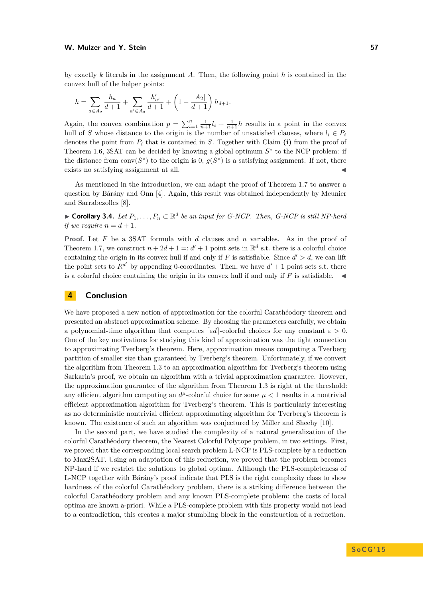#### **W. Mulzer and Y. Stein 57**

by exactly *k* literals in the assignment *A*. Then, the following point *h* is contained in the convex hull of the helper points:

$$
h = \sum_{a \in A_2} \frac{h_a}{d+1} + \sum_{a' \in A_3} \frac{h'_{a'}}{d+1} + \left(1 - \frac{|A_2|}{d+1}\right)h_{d+1}.
$$

Again, the convex combination  $p = \sum_{i=1}^{n} \frac{1}{n+1} l_i + \frac{1}{n+1} h$  results in a point in the convex hull of *S* whose distance to the origin is the number of unsatisfied clauses, where  $l_i \in P_i$ denotes the point from  $P_i$  that is contained in *S*. Together with Claim (i) from the proof of Theorem [1.6,](#page-2-4) 3SAT can be decided by knowing a global optimum *S* ∗ to the NCP problem: if the distance from conv $(S^*)$  to the origin is 0,  $g(S^*)$  is a satisfying assignment. If not, there exists no satisfying assignment at all.

As mentioned in the introduction, we can adapt the proof of Theorem [1.7](#page-2-5) to answer a question by Bárány and Onn [\[4\]](#page-14-3). Again, this result was obtained independently by Meunier and Sarrabezolles [\[8\]](#page-14-8).

▶ **Corollary 3.4.** *Let*  $P_1, \ldots, P_n \subset \mathbb{R}^d$  *be an input for G-NCP. Then, G-NCP is still NP-hard if we require*  $n = d + 1$ .

**Proof.** Let *F* be a 3SAT formula with *d* clauses and *n* variables. As in the proof of Theorem [1.7,](#page-2-5) we construct  $n + 2d + 1 =: d' + 1$  point sets in  $\mathbb{R}^d$  s.t. there is a colorful choice containing the origin in its convex hull if and only if *F* is satisfiable. Since  $d' > d$ , we can lift the point sets to  $R^{d'}$  by appending 0-coordinates. Then, we have  $d' + 1$  point sets s.t. there is a colorful choice containing the origin in its convex hull if and only if  $F$  is satisfiable.

#### **4 Conclusion**

We have proposed a new notion of approximation for the colorful Carathéodory theorem and presented an abstract approximation scheme. By choosing the parameters carefully, we obtain a polynomial-time algorithm that computes  $\lceil \varepsilon d \rceil$ -colorful choices for any constant  $\varepsilon > 0$ . One of the key motivations for studying this kind of approximation was the tight connection to approximating Tverberg's theorem. Here, approximation means computing a Tverberg partition of smaller size than guaranteed by Tverberg's theorem. Unfortunately, if we convert the algorithm from Theorem [1.3](#page-2-1) to an approximation algorithm for Tverberg's theorem using Sarkaria's proof, we obtain an algorithm with a trivial approximation guarantee. However, the approximation guarantee of the algorithm from Theorem [1.3](#page-2-1) is right at the threshold: any efficient algorithm computing an  $d^{\mu}$ -colorful choice for some  $\mu < 1$  results in a nontrivial efficient approximation algorithm for Tverberg's theorem. This is particularly interesting as no deterministic nontrivial efficient approximating algorithm for Tverberg's theorem is known. The existence of such an algorithm was conjectured by Miller and Sheehy [\[10\]](#page-14-12).

In the second part, we have studied the complexity of a natural generalization of the colorful Carathéodory theorem, the Nearest Colorful Polytope problem, in two settings. First, we proved that the corresponding local search problem L-NCP is PLS-complete by a reduction to Max2SAT. Using an adaptation of this reduction, we proved that the problem becomes NP-hard if we restrict the solutions to global optima. Although the PLS-completeness of L-NCP together with Bárány's proof indicate that PLS is the right complexity class to show hardness of the colorful Carathéodory problem, there is a striking difference between the colorful Carathéodory problem and any known PLS-complete problem: the costs of local optima are known a-priori. While a PLS-complete problem with this property would not lead to a contradiction, this creates a major stumbling block in the construction of a reduction.